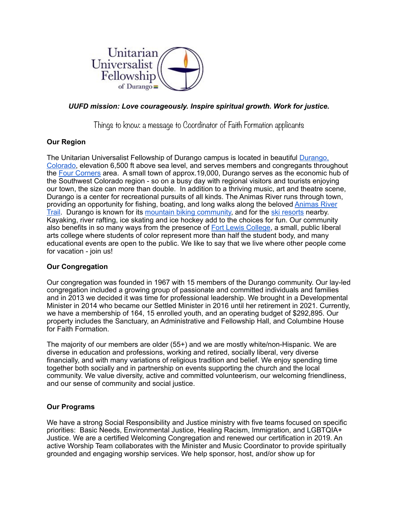

# *UUFD mission: Love courageously. Inspire spiritual growth. Work for justice.*

Things to know: a message to Coordinator of Faith Formation applicants

## **Our Region**

The Unitarian Universalist Fellowship of Durango campus is located in beautiful [Durango,](https://www.uncovercolorado.com/towns/durango/)  [Colorado,](https://www.uncovercolorado.com/towns/durango/) elevation 6,500 ft above sea level, and serves members and congregants throughout the [Four Corners](https://www.colorado.com/articles/discover-four-corners-region-things-do) area. A small town of approx.19,000, Durango serves as the economic hub of the Southwest Colorado region - so on a busy day with regional visitors and tourists enjoying our town, the size can more than double. In addition to a thriving music, art and theatre scene, Durango is a center for recreational pursuits of all kinds. The Animas River runs through town, providing an opportunity for fishing, boating, and long walks along the beloved [Animas River](https://www.railstotrails.org/trailblog/2017/november/08/colorado-s-animas-river-trail/)  [Trail.](https://www.railstotrails.org/trailblog/2017/november/08/colorado-s-animas-river-trail/) Durango is known for its [mountain biking community,](https://www.singletracks.com/mtb-trails/durango-colorado-a-mountain-bikers-guide/) and for the [ski resorts](https://www.durango.com/durango-skiing/) nearby. Kayaking, river rafting, ice skating and ice hockey add to the choices for fun. Our community also benefits in so many ways from the presence of [Fort Lewis College](https://www.fortlewis.edu/about-flc/fast-facts), a small, public liberal arts college where students of color represent more than half the student body, and many educational events are open to the public. We like to say that we live where other people come for vacation - join us!

## **Our Congregation**

Our congregation was founded in 1967 with 15 members of the Durango community. Our lay-led congregation included a growing group of passionate and committed individuals and families and in 2013 we decided it was time for professional leadership. We brought in a Developmental Minister in 2014 who became our Settled Minister in 2016 until her retirement in 2021. Currently, we have a membership of 164, 15 enrolled youth, and an operating budget of \$292,895. Our property includes the Sanctuary, an Administrative and Fellowship Hall, and Columbine House for Faith Formation.

The majority of our members are older (55+) and we are mostly white/non-Hispanic. We are diverse in education and professions, working and retired, socially liberal, very diverse financially, and with many variations of religious tradition and belief. We enjoy spending time together both socially and in partnership on events supporting the church and the local community. We value diversity, active and committed volunteerism, our welcoming friendliness, and our sense of community and social justice.

## **Our Programs**

We have a strong Social Responsibility and Justice ministry with five teams focused on specific priorities: Basic Needs, Environmental Justice, Healing Racism, Immigration, and LGBTQIA+ Justice. We are a certified Welcoming Congregation and renewed our certification in 2019. An active Worship Team collaborates with the Minister and Music Coordinator to provide spiritually grounded and engaging worship services. We help sponsor, host, and/or show up for